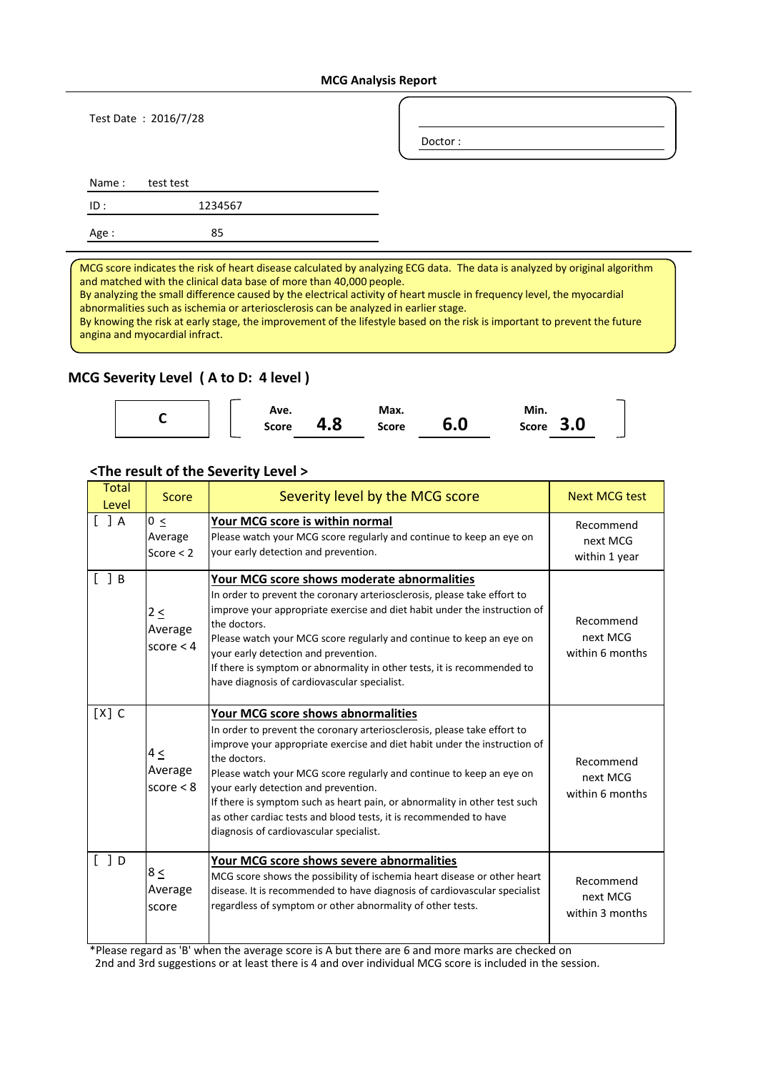### **MCG Analysis Report**

Test Date : 2016/7/28

Doctor :

test test Name :

1234567

ID :

Age : 85

MCG score indicates the risk of heart disease calculated by analyzing ECG data. The data is analyzed by original algorithm and matched with the clinical data base of more than 40,000 people.

By analyzing the small difference caused by the electrical activity of heart muscle in frequency level, the myocardial abnormalities such as ischemia or arteriosclerosis can be analyzed in earlier stage.

By knowing the risk at early stage, the improvement of the lifestyle based on the risk is important to prevent the future angina and myocardial infract.

### **MCG Severity Level ( A to D: 4 level )**

| . . | Ave.<br><b>Score</b> | 4.8 | Max.<br><b>Score</b> | 6.0 | Min.<br>3.U<br><b>Score</b> |  |
|-----|----------------------|-----|----------------------|-----|-----------------------------|--|
|     |                      |     |                      |     |                             |  |

### **<The result of the Severity Level >**

| <b>Total</b><br>Level                 | Score                              | Severity level by the MCG score                                                                                                                                                                                                                                                                                                                                                                                                                                                                                          | <b>Next MCG test</b>                     |
|---------------------------------------|------------------------------------|--------------------------------------------------------------------------------------------------------------------------------------------------------------------------------------------------------------------------------------------------------------------------------------------------------------------------------------------------------------------------------------------------------------------------------------------------------------------------------------------------------------------------|------------------------------------------|
| $\begin{bmatrix} 1 & A \end{bmatrix}$ | $0 \leq$<br>Average<br>Score $<$ 2 | Your MCG score is within normal<br>Please watch your MCG score regularly and continue to keep an eye on<br>your early detection and prevention.                                                                                                                                                                                                                                                                                                                                                                          | Recommend<br>next MCG<br>within 1 year   |
| [ ] B                                 | $2 \leq$<br>Average<br>score $<$ 4 | Your MCG score shows moderate abnormalities<br>In order to prevent the coronary arteriosclerosis, please take effort to<br>improve your appropriate exercise and diet habit under the instruction of<br>the doctors.<br>Please watch your MCG score regularly and continue to keep an eye on<br>your early detection and prevention.<br>If there is symptom or abnormality in other tests, it is recommended to<br>have diagnosis of cardiovascular specialist.                                                          | Recommend<br>next MCG<br>within 6 months |
| $[X]$ $C$                             | $4 \leq$<br>Average<br>score $< 8$ | Your MCG score shows abnormalities<br>In order to prevent the coronary arteriosclerosis, please take effort to<br>improve your appropriate exercise and diet habit under the instruction of<br>the doctors.<br>Please watch your MCG score regularly and continue to keep an eye on<br>your early detection and prevention.<br>If there is symptom such as heart pain, or abnormality in other test such<br>as other cardiac tests and blood tests, it is recommended to have<br>diagnosis of cardiovascular specialist. | Recommend<br>next MCG<br>within 6 months |
| $[ ]$ D                               | $8 \le$<br>Average<br>score        | Your MCG score shows severe abnormalities<br>MCG score shows the possibility of ischemia heart disease or other heart<br>disease. It is recommended to have diagnosis of cardiovascular specialist<br>regardless of symptom or other abnormality of other tests.                                                                                                                                                                                                                                                         | Recommend<br>next MCG<br>within 3 months |

\*Please regard as 'B' when the average score is A but there are 6 and more marks are checked on

2nd and 3rd suggestions or at least there is 4 and over individual MCG score is included in the session.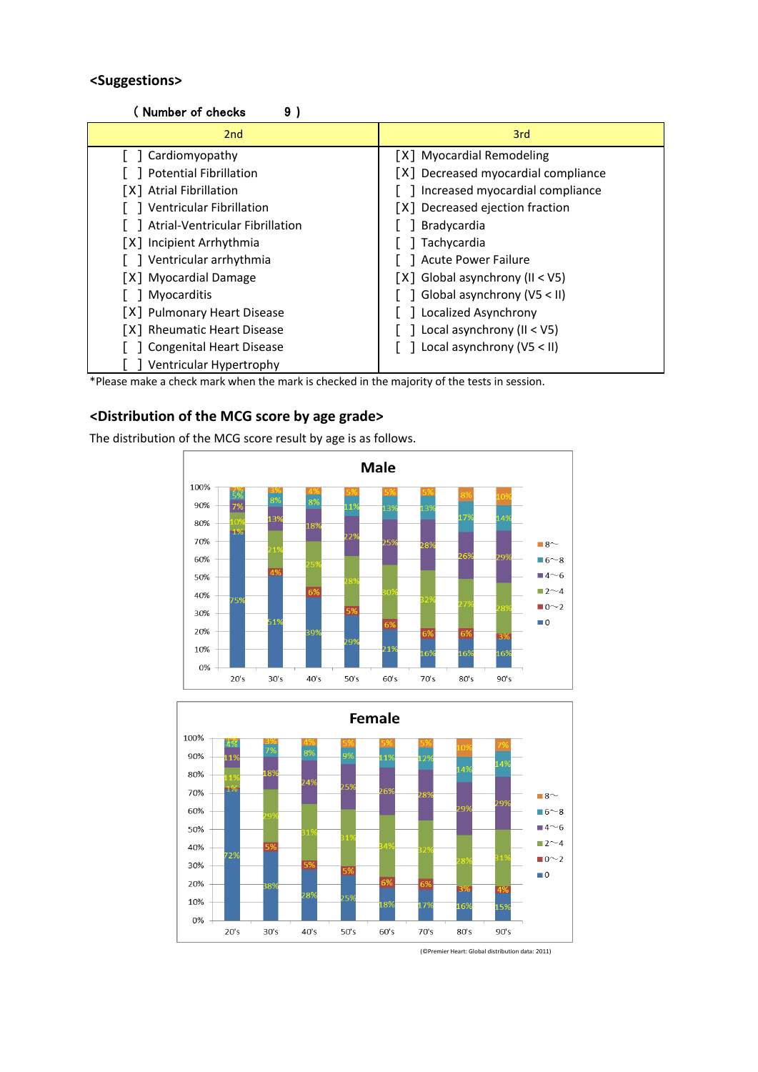## **<Suggestions>**

#### ( Number of checks 9 **)**

| 2nd                             | 3rd                                 |
|---------------------------------|-------------------------------------|
| [ ] Cardiomyopathy              | [X] Myocardial Remodeling           |
| <b>Potential Fibrillation</b>   | [X] Decreased myocardial compliance |
| [X] Atrial Fibrillation         | Increased myocardial compliance     |
| Ventricular Fibrillation        | [X] Decreased ejection fraction     |
| Atrial-Ventricular Fibrillation | Bradycardia                         |
| [X] Incipient Arrhythmia        | Tachycardia                         |
| Ventricular arrhythmia          | <b>Acute Power Failure</b>          |
| [X] Myocardial Damage           | $[X]$ Global asynchrony (II < V5)   |
| Myocarditis                     | Global asynchrony (V5 < II)         |
| [X] Pulmonary Heart Disease     | Localized Asynchrony                |
| [X] Rheumatic Heart Disease     | Local asynchrony ( $II < VI$ )      |
| <b>Congenital Heart Disease</b> | Local asynchrony $(V5 < II)$        |
| Ventricular Hypertrophy         |                                     |

\*Please make a check mark when the mark is checked in the majority of the tests in session.

# **<Distribution of the MCG score by age grade>**

The distribution of the MCG score result by age is as follows.





(©Premier Heart: Global distribution data: 2011)